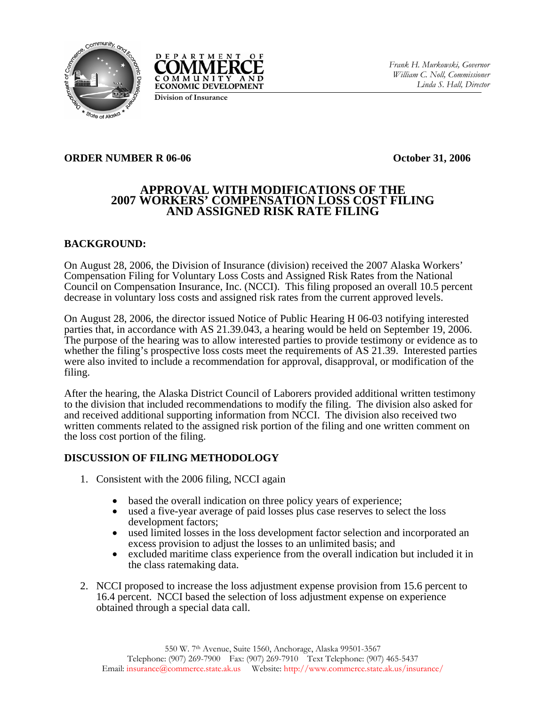



**Division of Insurance**

### **ORDER NUMBER R 06-06 October 31, 2006**

# **APPROVAL WITH MODIFICATIONS OF THE 2007 WORKERS' COMPENSATION LOSS COST FILING AND ASSIGNED RISK RATE FILING**

# **BACKGROUND:**

On August 28, 2006, the Division of Insurance (division) received the 2007 Alaska Workers' Compensation Filing for Voluntary Loss Costs and Assigned Risk Rates from the National Council on Compensation Insurance, Inc. (NCCI). This filing proposed an overall 10.5 percent decrease in voluntary loss costs and assigned risk rates from the current approved levels.

On August 28, 2006, the director issued Notice of Public Hearing H 06-03 notifying interested parties that, in accordance with AS 21.39.043, a hearing would be held on September 19, 2006. The purpose of the hearing was to allow interested parties to provide testimony or evidence as to whether the filing's prospective loss costs meet the requirements of AS 21.39. Interested parties were also invited to include a recommendation for approval, disapproval, or modification of the filing.

After the hearing, the Alaska District Council of Laborers provided additional written testimony to the division that included recommendations to modify the filing. The division also asked for and received additional supporting information from NCCI. The division also received two written comments related to the assigned risk portion of the filing and one written comment on the loss cost portion of the filing.

# **DISCUSSION OF FILING METHODOLOGY**

- 1. Consistent with the 2006 filing, NCCI again
	- based the overall indication on three policy years of experience;
	- used a five-year average of paid losses plus case reserves to select the loss development factors;
	- used limited losses in the loss development factor selection and incorporated an excess provision to adjust the losses to an unlimited basis; and
	- excluded maritime class experience from the overall indication but included it in the class ratemaking data.
- 2. NCCI proposed to increase the loss adjustment expense provision from 15.6 percent to 16.4 percent. NCCI based the selection of loss adjustment expense on experience obtained through a special data call.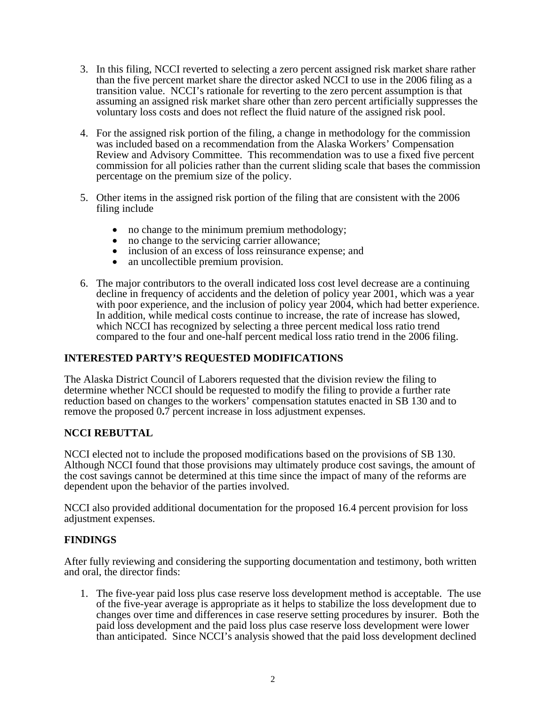- 3. In this filing, NCCI reverted to selecting a zero percent assigned risk market share rather than the five percent market share the director asked NCCI to use in the 2006 filing as a transition value. NCCI's rationale for reverting to the zero percent assumption is that assuming an assigned risk market share other than zero percent artificially suppresses the voluntary loss costs and does not reflect the fluid nature of the assigned risk pool.
- 4. For the assigned risk portion of the filing, a change in methodology for the commission was included based on a recommendation from the Alaska Workers' Compensation Review and Advisory Committee. This recommendation was to use a fixed five percent commission for all policies rather than the current sliding scale that bases the commission percentage on the premium size of the policy.
- 5. Other items in the assigned risk portion of the filing that are consistent with the 2006 filing include
	-
	-
	- no change to the minimum premium methodology;<br>
	no change to the servicing carrier allowance;<br>
	inclusion of an excess of loss reinsurance expense; and<br>
	an uncollectible premium provision.
	-
- 6. The major contributors to the overall indicated loss cost level decrease are a continuing decline in frequency of accidents and the deletion of policy year 2001, which was a year with poor experience, and the inclusion of policy year 2004, which had better experience. In addition, while medical costs continue to increase, the rate of increase has slowed, which NCCI has recognized by selecting a three percent medical loss ratio trend compared to the four and one-half percent medical loss ratio trend in the 2006 filing.

# **INTERESTED PARTY'S REQUESTED MODIFICATIONS**

The Alaska District Council of Laborers requested that the division review the filing to determine whether NCCI should be requested to modify the filing to provide a further rate reduction based on changes to the workers' compensation statutes enacted in SB 130 and to remove the proposed 0**.**7 percent increase in loss adjustment expenses.

### **NCCI REBUTTAL**

NCCI elected not to include the proposed modifications based on the provisions of SB 130. Although NCCI found that those provisions may ultimately produce cost savings, the amount of the cost savings cannot be determined at this time since the impact of many of the reforms are dependent upon the behavior of the parties involved.

NCCI also provided additional documentation for the proposed 16.4 percent provision for loss adjustment expenses.

### **FINDINGS**

After fully reviewing and considering the supporting documentation and testimony, both written and oral, the director finds:

1. The five-year paid loss plus case reserve loss development method is acceptable. The use of the five-year average is appropriate as it helps to stabilize the loss development due to changes over time and differences in case reserve setting procedures by insurer. Both the paid loss development and the paid loss plus case reserve loss development were lower than anticipated. Since NCCI's analysis showed that the paid loss development declined